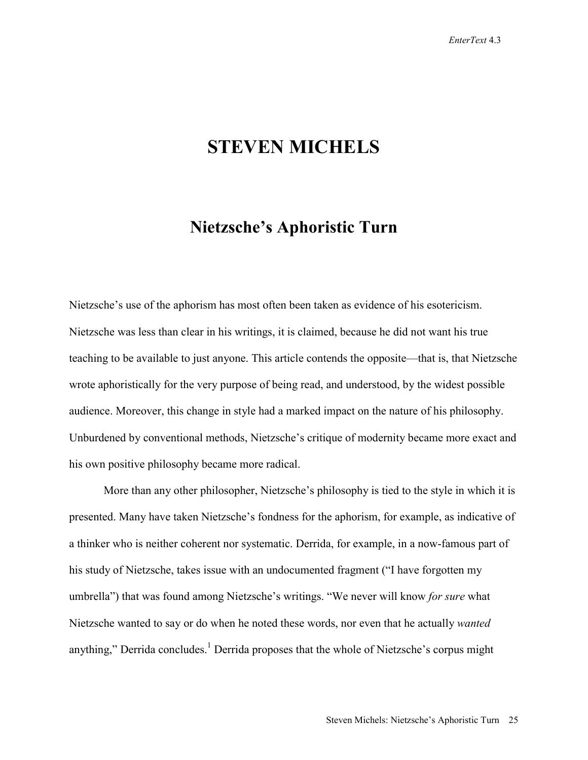# **STEVEN MICHELS**

## **Nietzsche's Aphoristic Turn**

Nietzsche's use of the aphorism has most often been taken as evidence of his esotericism. Nietzsche was less than clear in his writings, it is claimed, because he did not want his true teaching to be available to just anyone. This article contends the opposite—that is, that Nietzsche wrote aphoristically for the very purpose of being read, and understood, by the widest possible audience. Moreover, this change in style had a marked impact on the nature of his philosophy. Unburdened by conventional methods, Nietzsche's critique of modernity became more exact and his own positive philosophy became more radical.

More than any other philosopher, Nietzsche's philosophy is tied to the style in which it is presented. Many have taken Nietzsche's fondness for the aphorism, for example, as indicative of a thinker who is neither coherent nor systematic. Derrida, for example, in a now-famous part of his study of Nietzsche, takes issue with an undocumented fragment ("I have forgotten my umbrella") that was found among Nietzsche's writings. "We never will know *for sure* what Nietzsche wanted to say or do when he noted these words, nor even that he actually *wanted* anything," Derrida concludes.<sup>1</sup> Derrida proposes that the whole of Nietzsche's corpus might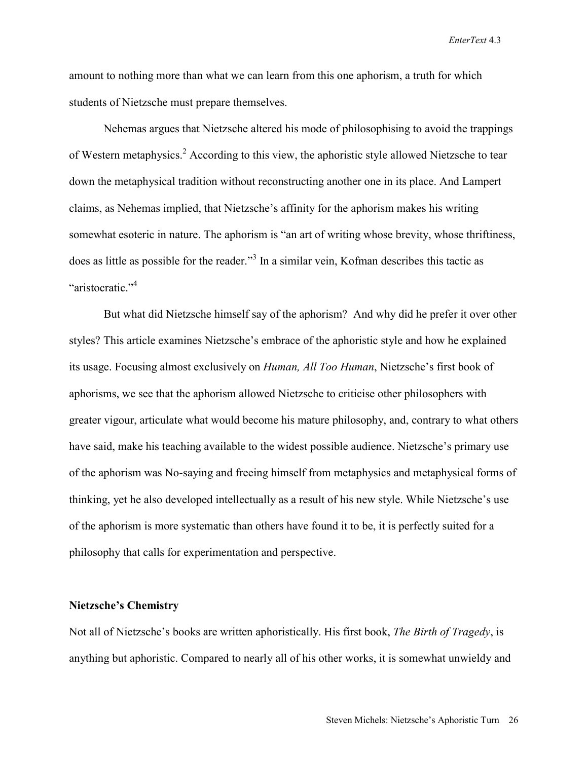amount to nothing more than what we can learn from this one aphorism, a truth for which students of Nietzsche must prepare themselves.

Nehemas argues that Nietzsche altered his mode of philosophising to avoid the trappings of Western metaphysics.<sup>2</sup> According to this view, the aphoristic style allowed Nietzsche to tear down the metaphysical tradition without reconstructing another one in its place. And Lampert claims, as Nehemas implied, that Nietzsche's affinity for the aphorism makes his writing somewhat esoteric in nature. The aphorism is "an art of writing whose brevity, whose thriftiness, does as little as possible for the reader."<sup>3</sup> In a similar vein, Kofman describes this tactic as "aristocratic<sup>"4</sup>

But what did Nietzsche himself say of the aphorism? And why did he prefer it over other styles? This article examines Nietzsche's embrace of the aphoristic style and how he explained its usage. Focusing almost exclusively on *Human, All Too Human*, Nietzsche's first book of aphorisms, we see that the aphorism allowed Nietzsche to criticise other philosophers with greater vigour, articulate what would become his mature philosophy, and, contrary to what others have said, make his teaching available to the widest possible audience. Nietzsche's primary use of the aphorism was No-saying and freeing himself from metaphysics and metaphysical forms of thinking, yet he also developed intellectually as a result of his new style. While Nietzsche's use of the aphorism is more systematic than others have found it to be, it is perfectly suited for a philosophy that calls for experimentation and perspective.

### **Nietzsche's Chemistry**

Not all of Nietzsche's books are written aphoristically. His first book, *The Birth of Tragedy*, is anything but aphoristic. Compared to nearly all of his other works, it is somewhat unwieldy and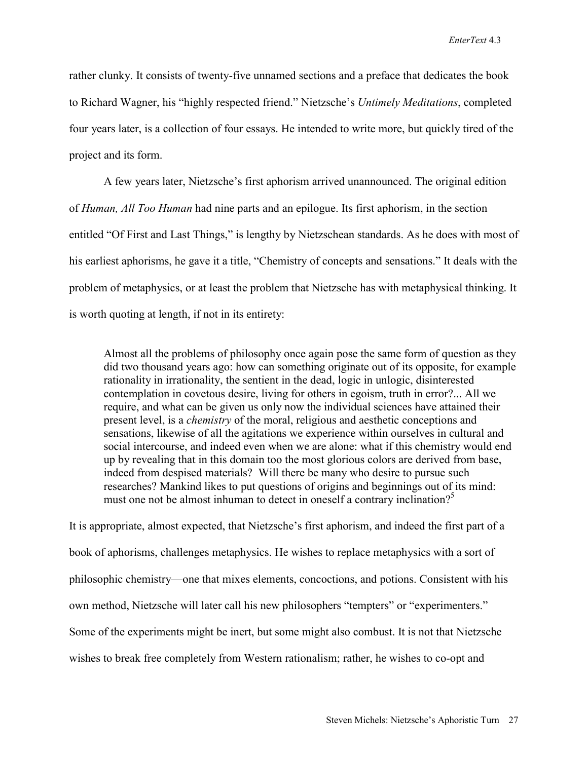rather clunky. It consists of twenty-five unnamed sections and a preface that dedicates the book to Richard Wagner, his "highly respected friend." Nietzsche's *Untimely Meditations*, completed four years later, is a collection of four essays. He intended to write more, but quickly tired of the project and its form.

A few years later, Nietzsche's first aphorism arrived unannounced. The original edition of *Human, All Too Human* had nine parts and an epilogue. Its first aphorism, in the section entitled "Of First and Last Things," is lengthy by Nietzschean standards. As he does with most of his earliest aphorisms, he gave it a title, "Chemistry of concepts and sensations." It deals with the problem of metaphysics, or at least the problem that Nietzsche has with metaphysical thinking. It is worth quoting at length, if not in its entirety:

Almost all the problems of philosophy once again pose the same form of question as they did two thousand years ago: how can something originate out of its opposite, for example rationality in irrationality, the sentient in the dead, logic in unlogic, disinterested contemplation in covetous desire, living for others in egoism, truth in error?... All we require, and what can be given us only now the individual sciences have attained their present level, is a *chemistry* of the moral, religious and aesthetic conceptions and sensations, likewise of all the agitations we experience within ourselves in cultural and social intercourse, and indeed even when we are alone: what if this chemistry would end up by revealing that in this domain too the most glorious colors are derived from base, indeed from despised materials? Will there be many who desire to pursue such researches? Mankind likes to put questions of origins and beginnings out of its mind: must one not be almost inhuman to detect in oneself a contrary inclination?<sup>5</sup>

It is appropriate, almost expected, that Nietzsche's first aphorism, and indeed the first part of a book of aphorisms, challenges metaphysics. He wishes to replace metaphysics with a sort of philosophic chemistry—one that mixes elements, concoctions, and potions. Consistent with his own method, Nietzsche will later call his new philosophers "tempters" or "experimenters." Some of the experiments might be inert, but some might also combust. It is not that Nietzsche wishes to break free completely from Western rationalism; rather, he wishes to co-opt and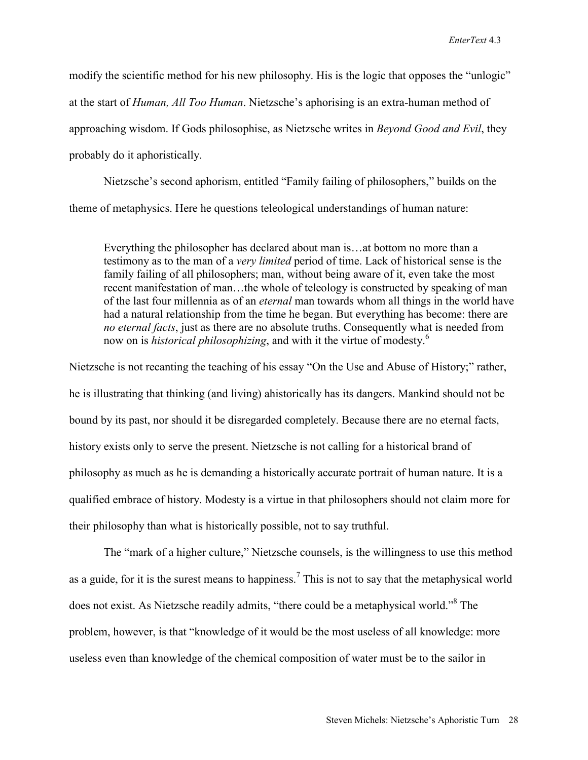modify the scientific method for his new philosophy. His is the logic that opposes the "unlogic" at the start of *Human, All Too Human*. Nietzsche's aphorising is an extra-human method of approaching wisdom. If Gods philosophise, as Nietzsche writes in *Beyond Good and Evil*, they probably do it aphoristically.

Nietzsche's second aphorism, entitled "Family failing of philosophers," builds on the theme of metaphysics. Here he questions teleological understandings of human nature:

Everything the philosopher has declared about man is…at bottom no more than a testimony as to the man of a *very limited* period of time. Lack of historical sense is the family failing of all philosophers; man, without being aware of it, even take the most recent manifestation of man…the whole of teleology is constructed by speaking of man of the last four millennia as of an *eternal* man towards whom all things in the world have had a natural relationship from the time he began. But everything has become: there are *no eternal facts*, just as there are no absolute truths. Consequently what is needed from now on is *historical philosophizing*, and with it the virtue of modesty.<sup>6</sup>

Nietzsche is not recanting the teaching of his essay "On the Use and Abuse of History;" rather, he is illustrating that thinking (and living) ahistorically has its dangers. Mankind should not be bound by its past, nor should it be disregarded completely. Because there are no eternal facts, history exists only to serve the present. Nietzsche is not calling for a historical brand of philosophy as much as he is demanding a historically accurate portrait of human nature. It is a qualified embrace of history. Modesty is a virtue in that philosophers should not claim more for their philosophy than what is historically possible, not to say truthful.

The "mark of a higher culture," Nietzsche counsels, is the willingness to use this method as a guide, for it is the surest means to happiness.<sup>7</sup> This is not to say that the metaphysical world does not exist. As Nietzsche readily admits, "there could be a metaphysical world."<sup>8</sup> The problem, however, is that "knowledge of it would be the most useless of all knowledge: more useless even than knowledge of the chemical composition of water must be to the sailor in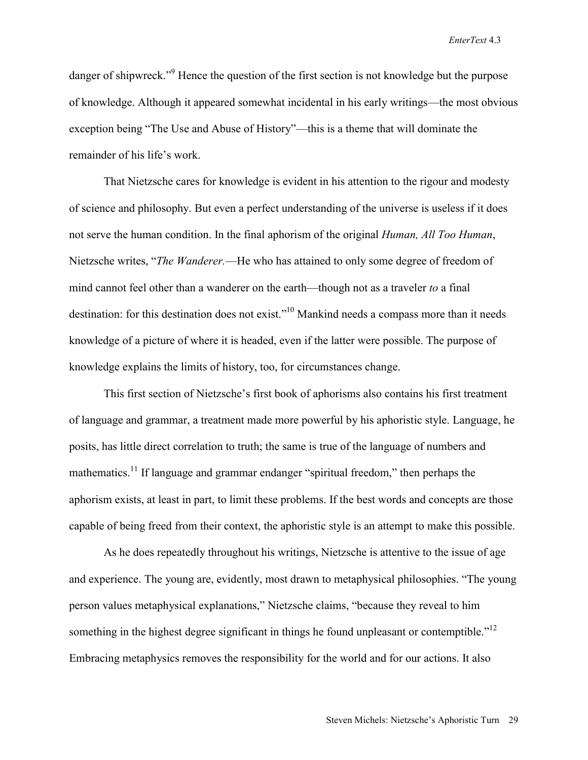danger of shipwreck."<sup>9</sup> Hence the question of the first section is not knowledge but the purpose of knowledge. Although it appeared somewhat incidental in his early writings—the most obvious exception being "The Use and Abuse of History"—this is a theme that will dominate the remainder of his life's work.

That Nietzsche cares for knowledge is evident in his attention to the rigour and modesty of science and philosophy. But even a perfect understanding of the universe is useless if it does not serve the human condition. In the final aphorism of the original *Human, All Too Human*, Nietzsche writes, "*The Wanderer.*—He who has attained to only some degree of freedom of mind cannot feel other than a wanderer on the earth—though not as a traveler *to* a final destination: for this destination does not exist."<sup>10</sup> Mankind needs a compass more than it needs knowledge of a picture of where it is headed, even if the latter were possible. The purpose of knowledge explains the limits of history, too, for circumstances change.

This first section of Nietzsche's first book of aphorisms also contains his first treatment of language and grammar, a treatment made more powerful by his aphoristic style. Language, he posits, has little direct correlation to truth; the same is true of the language of numbers and mathematics.<sup>11</sup> If language and grammar endanger "spiritual freedom," then perhaps the aphorism exists, at least in part, to limit these problems. If the best words and concepts are those capable of being freed from their context, the aphoristic style is an attempt to make this possible.

As he does repeatedly throughout his writings, Nietzsche is attentive to the issue of age and experience. The young are, evidently, most drawn to metaphysical philosophies. "The young person values metaphysical explanations," Nietzsche claims, "because they reveal to him something in the highest degree significant in things he found unpleasant or contemptible."<sup>12</sup> Embracing metaphysics removes the responsibility for the world and for our actions. It also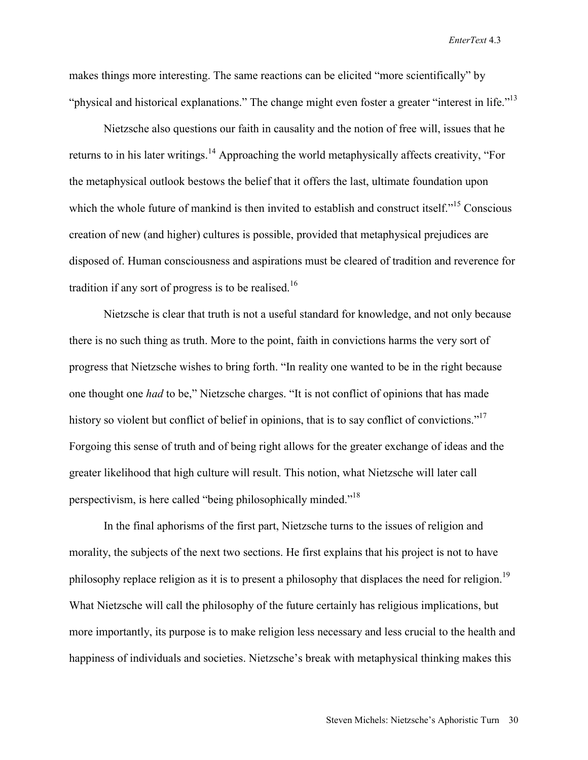makes things more interesting. The same reactions can be elicited "more scientifically" by "physical and historical explanations." The change might even foster a greater "interest in life."<sup>13</sup>

Nietzsche also questions our faith in causality and the notion of free will, issues that he returns to in his later writings.<sup>14</sup> Approaching the world metaphysically affects creativity, "For the metaphysical outlook bestows the belief that it offers the last, ultimate foundation upon which the whole future of mankind is then invited to establish and construct itself."<sup>15</sup> Conscious creation of new (and higher) cultures is possible, provided that metaphysical prejudices are disposed of. Human consciousness and aspirations must be cleared of tradition and reverence for tradition if any sort of progress is to be realised.<sup>16</sup>

Nietzsche is clear that truth is not a useful standard for knowledge, and not only because there is no such thing as truth. More to the point, faith in convictions harms the very sort of progress that Nietzsche wishes to bring forth. "In reality one wanted to be in the right because one thought one *had* to be," Nietzsche charges. "It is not conflict of opinions that has made history so violent but conflict of belief in opinions, that is to say conflict of convictions."<sup>17</sup> Forgoing this sense of truth and of being right allows for the greater exchange of ideas and the greater likelihood that high culture will result. This notion, what Nietzsche will later call perspectivism, is here called "being philosophically minded."<sup>18</sup>

 In the final aphorisms of the first part, Nietzsche turns to the issues of religion and morality, the subjects of the next two sections. He first explains that his project is not to have philosophy replace religion as it is to present a philosophy that displaces the need for religion.<sup>19</sup> What Nietzsche will call the philosophy of the future certainly has religious implications, but more importantly, its purpose is to make religion less necessary and less crucial to the health and happiness of individuals and societies. Nietzsche's break with metaphysical thinking makes this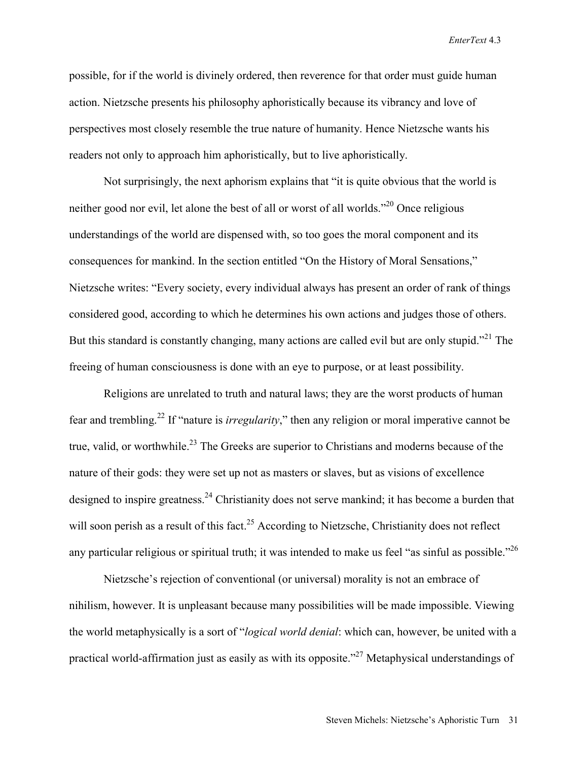possible, for if the world is divinely ordered, then reverence for that order must guide human action. Nietzsche presents his philosophy aphoristically because its vibrancy and love of perspectives most closely resemble the true nature of humanity. Hence Nietzsche wants his readers not only to approach him aphoristically, but to live aphoristically.

Not surprisingly, the next aphorism explains that "it is quite obvious that the world is neither good nor evil, let alone the best of all or worst of all worlds."<sup>20</sup> Once religious understandings of the world are dispensed with, so too goes the moral component and its consequences for mankind. In the section entitled "On the History of Moral Sensations," Nietzsche writes: "Every society, every individual always has present an order of rank of things considered good, according to which he determines his own actions and judges those of others. But this standard is constantly changing, many actions are called evil but are only stupid."<sup>21</sup> The freeing of human consciousness is done with an eye to purpose, or at least possibility.

Religions are unrelated to truth and natural laws; they are the worst products of human fear and trembling.22 If "nature is *irregularity*," then any religion or moral imperative cannot be true, valid, or worthwhile.<sup>23</sup> The Greeks are superior to Christians and moderns because of the nature of their gods: they were set up not as masters or slaves, but as visions of excellence designed to inspire greatness.<sup>24</sup> Christianity does not serve mankind; it has become a burden that will soon perish as a result of this fact.<sup>25</sup> According to Nietzsche, Christianity does not reflect any particular religious or spiritual truth; it was intended to make us feel "as sinful as possible."<sup>26</sup>

Nietzsche's rejection of conventional (or universal) morality is not an embrace of nihilism, however. It is unpleasant because many possibilities will be made impossible. Viewing the world metaphysically is a sort of "*logical world denial*: which can, however, be united with a practical world-affirmation just as easily as with its opposite."27 Metaphysical understandings of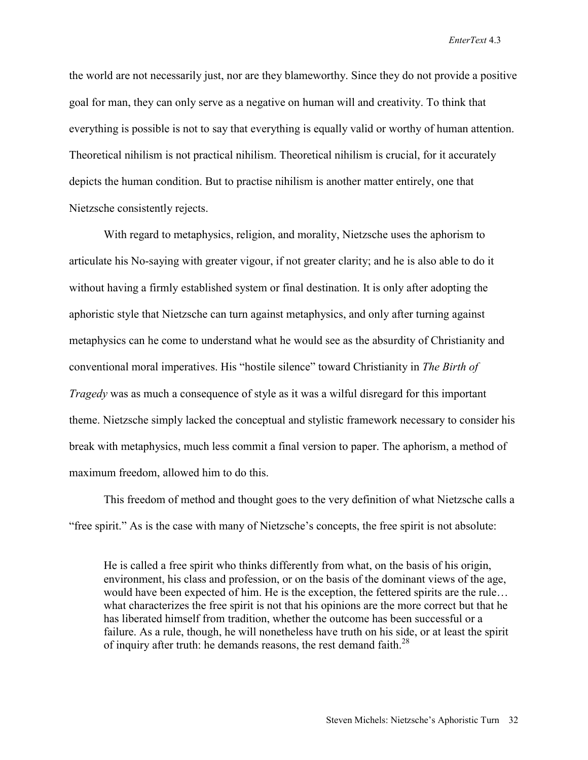the world are not necessarily just, nor are they blameworthy. Since they do not provide a positive goal for man, they can only serve as a negative on human will and creativity. To think that everything is possible is not to say that everything is equally valid or worthy of human attention. Theoretical nihilism is not practical nihilism. Theoretical nihilism is crucial, for it accurately depicts the human condition. But to practise nihilism is another matter entirely, one that Nietzsche consistently rejects.

With regard to metaphysics, religion, and morality, Nietzsche uses the aphorism to articulate his No-saying with greater vigour, if not greater clarity; and he is also able to do it without having a firmly established system or final destination. It is only after adopting the aphoristic style that Nietzsche can turn against metaphysics, and only after turning against metaphysics can he come to understand what he would see as the absurdity of Christianity and conventional moral imperatives. His "hostile silence" toward Christianity in *The Birth of Tragedy* was as much a consequence of style as it was a wilful disregard for this important theme. Nietzsche simply lacked the conceptual and stylistic framework necessary to consider his break with metaphysics, much less commit a final version to paper. The aphorism, a method of maximum freedom, allowed him to do this.

This freedom of method and thought goes to the very definition of what Nietzsche calls a "free spirit." As is the case with many of Nietzsche's concepts, the free spirit is not absolute:

He is called a free spirit who thinks differently from what, on the basis of his origin, environment, his class and profession, or on the basis of the dominant views of the age, would have been expected of him. He is the exception, the fettered spirits are the rule… what characterizes the free spirit is not that his opinions are the more correct but that he has liberated himself from tradition, whether the outcome has been successful or a failure. As a rule, though, he will nonetheless have truth on his side, or at least the spirit of inquiry after truth: he demands reasons, the rest demand faith.<sup>28</sup>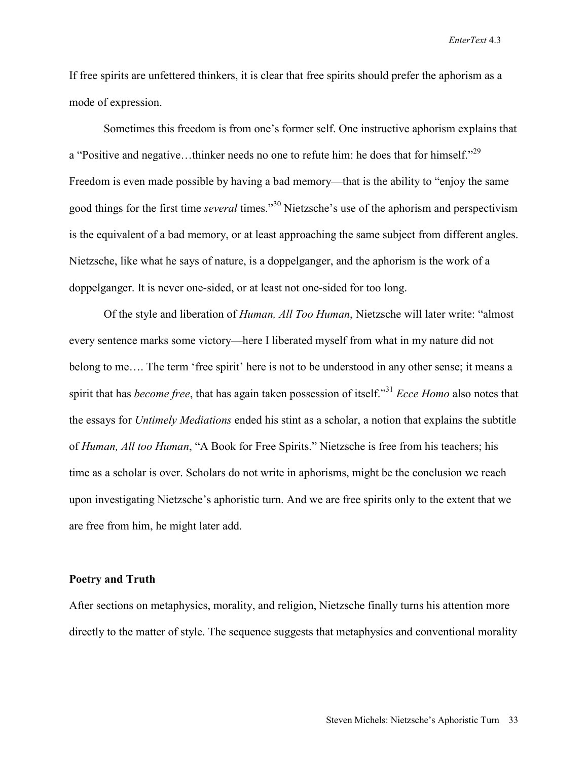If free spirits are unfettered thinkers, it is clear that free spirits should prefer the aphorism as a mode of expression.

 Sometimes this freedom is from one's former self. One instructive aphorism explains that a "Positive and negative…thinker needs no one to refute him: he does that for himself."<sup>29</sup> Freedom is even made possible by having a bad memory—that is the ability to "enjoy the same good things for the first time *several* times."30 Nietzsche's use of the aphorism and perspectivism is the equivalent of a bad memory, or at least approaching the same subject from different angles. Nietzsche, like what he says of nature, is a doppelganger, and the aphorism is the work of a doppelganger. It is never one-sided, or at least not one-sided for too long.

Of the style and liberation of *Human, All Too Human*, Nietzsche will later write: "almost every sentence marks some victory—here I liberated myself from what in my nature did not belong to me…. The term 'free spirit' here is not to be understood in any other sense; it means a spirit that has *become free*, that has again taken possession of itself."<sup>31</sup> *Ecce Homo* also notes that the essays for *Untimely Mediations* ended his stint as a scholar, a notion that explains the subtitle of *Human, All too Human*, "A Book for Free Spirits." Nietzsche is free from his teachers; his time as a scholar is over. Scholars do not write in aphorisms, might be the conclusion we reach upon investigating Nietzsche's aphoristic turn. And we are free spirits only to the extent that we are free from him, he might later add.

## **Poetry and Truth**

After sections on metaphysics, morality, and religion, Nietzsche finally turns his attention more directly to the matter of style. The sequence suggests that metaphysics and conventional morality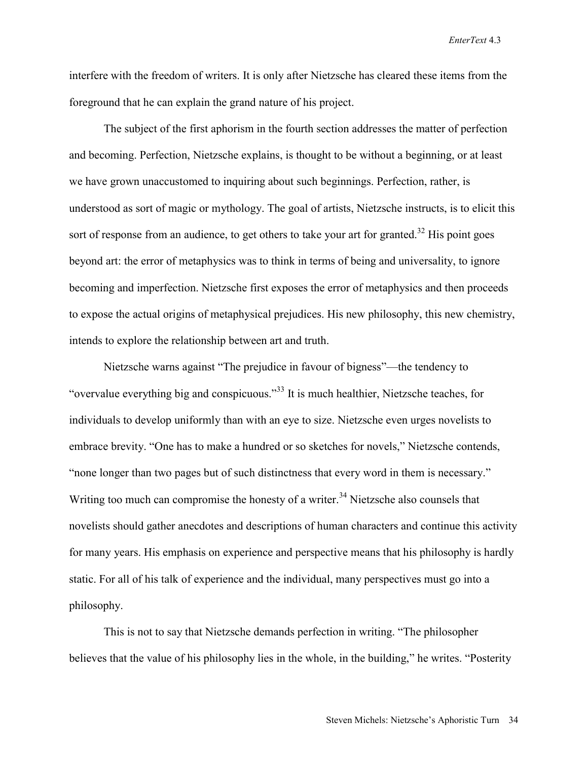interfere with the freedom of writers. It is only after Nietzsche has cleared these items from the foreground that he can explain the grand nature of his project.

 The subject of the first aphorism in the fourth section addresses the matter of perfection and becoming. Perfection, Nietzsche explains, is thought to be without a beginning, or at least we have grown unaccustomed to inquiring about such beginnings. Perfection, rather, is understood as sort of magic or mythology. The goal of artists, Nietzsche instructs, is to elicit this sort of response from an audience, to get others to take your art for granted.<sup>32</sup> His point goes beyond art: the error of metaphysics was to think in terms of being and universality, to ignore becoming and imperfection. Nietzsche first exposes the error of metaphysics and then proceeds to expose the actual origins of metaphysical prejudices. His new philosophy, this new chemistry, intends to explore the relationship between art and truth.

 Nietzsche warns against "The prejudice in favour of bigness"—the tendency to "overvalue everything big and conspicuous."33 It is much healthier, Nietzsche teaches, for individuals to develop uniformly than with an eye to size. Nietzsche even urges novelists to embrace brevity. "One has to make a hundred or so sketches for novels," Nietzsche contends, "none longer than two pages but of such distinctness that every word in them is necessary." Writing too much can compromise the honesty of a writer.<sup>34</sup> Nietzsche also counsels that novelists should gather anecdotes and descriptions of human characters and continue this activity for many years. His emphasis on experience and perspective means that his philosophy is hardly static. For all of his talk of experience and the individual, many perspectives must go into a philosophy.

 This is not to say that Nietzsche demands perfection in writing. "The philosopher believes that the value of his philosophy lies in the whole, in the building," he writes. "Posterity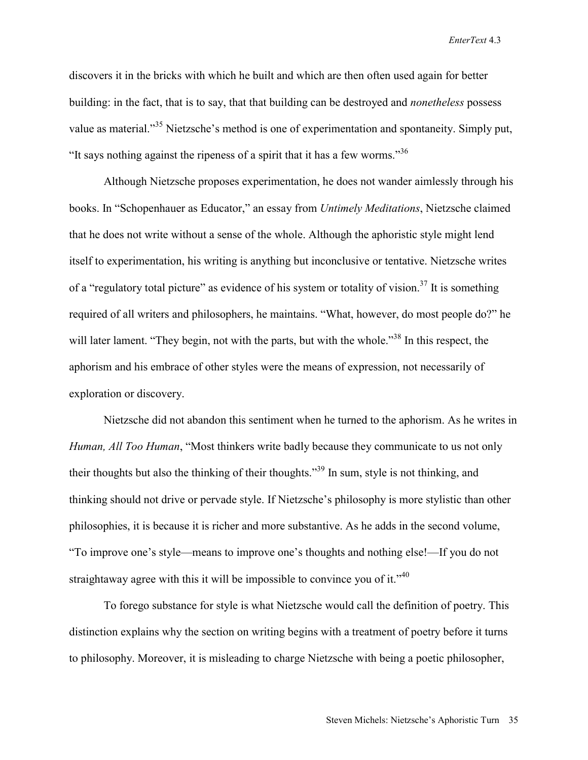discovers it in the bricks with which he built and which are then often used again for better building: in the fact, that is to say, that that building can be destroyed and *nonetheless* possess value as material."35 Nietzsche's method is one of experimentation and spontaneity. Simply put, "It says nothing against the ripeness of a spirit that it has a few worms."<sup>36</sup>

 Although Nietzsche proposes experimentation, he does not wander aimlessly through his books. In "Schopenhauer as Educator," an essay from *Untimely Meditations*, Nietzsche claimed that he does not write without a sense of the whole. Although the aphoristic style might lend itself to experimentation, his writing is anything but inconclusive or tentative. Nietzsche writes of a "regulatory total picture" as evidence of his system or totality of vision.<sup>37</sup> It is something required of all writers and philosophers, he maintains. "What, however, do most people do?" he will later lament. "They begin, not with the parts, but with the whole."<sup>38</sup> In this respect, the aphorism and his embrace of other styles were the means of expression, not necessarily of exploration or discovery.

 Nietzsche did not abandon this sentiment when he turned to the aphorism. As he writes in *Human, All Too Human*, "Most thinkers write badly because they communicate to us not only their thoughts but also the thinking of their thoughts."39 In sum, style is not thinking, and thinking should not drive or pervade style. If Nietzsche's philosophy is more stylistic than other philosophies, it is because it is richer and more substantive. As he adds in the second volume, "To improve one's style—means to improve one's thoughts and nothing else!—If you do not straightaway agree with this it will be impossible to convince you of it."<sup>40</sup>

To forego substance for style is what Nietzsche would call the definition of poetry. This distinction explains why the section on writing begins with a treatment of poetry before it turns to philosophy. Moreover, it is misleading to charge Nietzsche with being a poetic philosopher,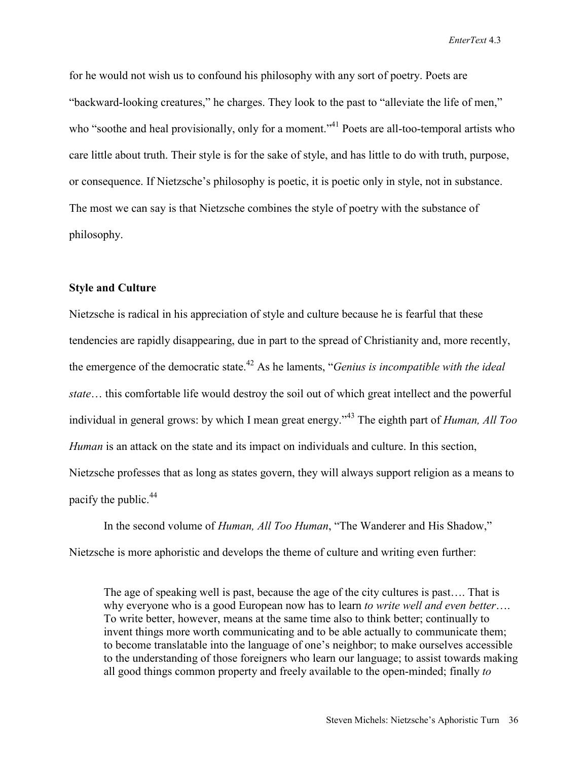for he would not wish us to confound his philosophy with any sort of poetry. Poets are "backward-looking creatures," he charges. They look to the past to "alleviate the life of men," who "soothe and heal provisionally, only for a moment."<sup>41</sup> Poets are all-too-temporal artists who care little about truth. Their style is for the sake of style, and has little to do with truth, purpose, or consequence. If Nietzsche's philosophy is poetic, it is poetic only in style, not in substance. The most we can say is that Nietzsche combines the style of poetry with the substance of philosophy.

## **Style and Culture**

Nietzsche is radical in his appreciation of style and culture because he is fearful that these tendencies are rapidly disappearing, due in part to the spread of Christianity and, more recently, the emergence of the democratic state.42 As he laments, "*Genius is incompatible with the ideal state*… this comfortable life would destroy the soil out of which great intellect and the powerful individual in general grows: by which I mean great energy."43 The eighth part of *Human, All Too Human* is an attack on the state and its impact on individuals and culture. In this section, Nietzsche professes that as long as states govern, they will always support religion as a means to pacify the public.<sup>44</sup>

In the second volume of *Human, All Too Human*, "The Wanderer and His Shadow," Nietzsche is more aphoristic and develops the theme of culture and writing even further:

The age of speaking well is past, because the age of the city cultures is past…. That is why everyone who is a good European now has to learn *to write well and even better*…. To write better, however, means at the same time also to think better; continually to invent things more worth communicating and to be able actually to communicate them; to become translatable into the language of one's neighbor; to make ourselves accessible to the understanding of those foreigners who learn our language; to assist towards making all good things common property and freely available to the open-minded; finally *to*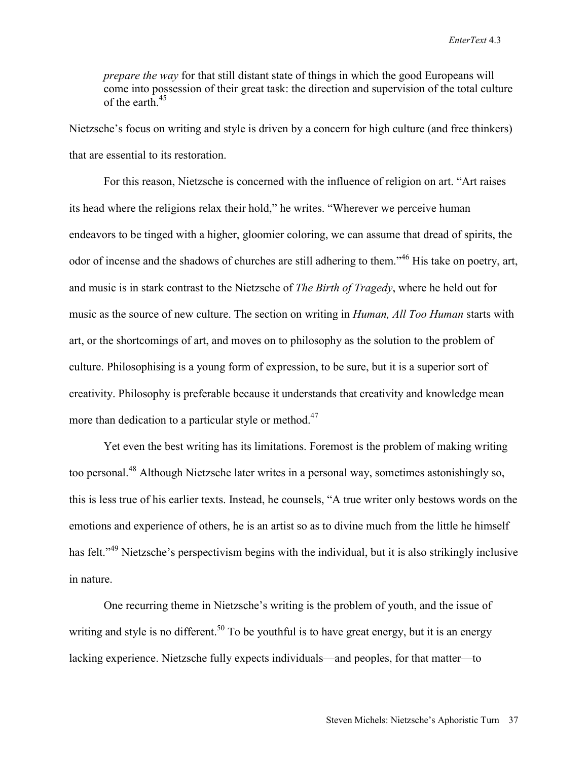*prepare the way* for that still distant state of things in which the good Europeans will come into possession of their great task: the direction and supervision of the total culture of the earth<sup>45</sup>

Nietzsche's focus on writing and style is driven by a concern for high culture (and free thinkers) that are essential to its restoration.

For this reason, Nietzsche is concerned with the influence of religion on art. "Art raises its head where the religions relax their hold," he writes. "Wherever we perceive human endeavors to be tinged with a higher, gloomier coloring, we can assume that dread of spirits, the odor of incense and the shadows of churches are still adhering to them."46 His take on poetry, art, and music is in stark contrast to the Nietzsche of *The Birth of Tragedy*, where he held out for music as the source of new culture. The section on writing in *Human, All Too Human* starts with art, or the shortcomings of art, and moves on to philosophy as the solution to the problem of culture. Philosophising is a young form of expression, to be sure, but it is a superior sort of creativity. Philosophy is preferable because it understands that creativity and knowledge mean more than dedication to a particular style or method.<sup>47</sup>

Yet even the best writing has its limitations. Foremost is the problem of making writing too personal.<sup>48</sup> Although Nietzsche later writes in a personal way, sometimes astonishingly so, this is less true of his earlier texts. Instead, he counsels, "A true writer only bestows words on the emotions and experience of others, he is an artist so as to divine much from the little he himself has felt."<sup>49</sup> Nietzsche's perspectivism begins with the individual, but it is also strikingly inclusive in nature.

 One recurring theme in Nietzsche's writing is the problem of youth, and the issue of writing and style is no different.<sup>50</sup> To be youthful is to have great energy, but it is an energy lacking experience. Nietzsche fully expects individuals—and peoples, for that matter—to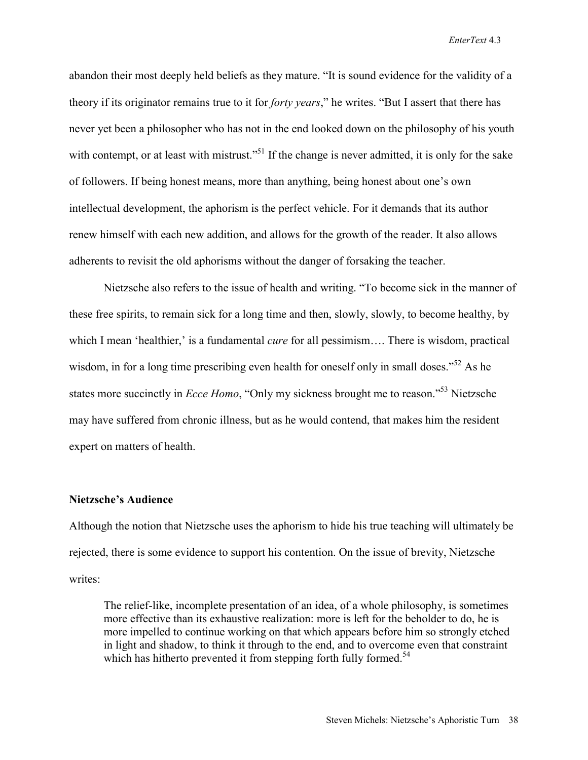abandon their most deeply held beliefs as they mature. "It is sound evidence for the validity of a theory if its originator remains true to it for *forty years*," he writes. "But I assert that there has never yet been a philosopher who has not in the end looked down on the philosophy of his youth with contempt, or at least with mistrust."<sup>51</sup> If the change is never admitted, it is only for the sake of followers. If being honest means, more than anything, being honest about one's own intellectual development, the aphorism is the perfect vehicle. For it demands that its author renew himself with each new addition, and allows for the growth of the reader. It also allows adherents to revisit the old aphorisms without the danger of forsaking the teacher.

Nietzsche also refers to the issue of health and writing. "To become sick in the manner of these free spirits, to remain sick for a long time and then, slowly, slowly, to become healthy, by which I mean 'healthier,' is a fundamental *cure* for all pessimism.... There is wisdom, practical wisdom, in for a long time prescribing even health for oneself only in small doses."<sup>52</sup> As he states more succinctly in *Ecce Homo*, "Only my sickness brought me to reason."<sup>53</sup> Nietzsche may have suffered from chronic illness, but as he would contend, that makes him the resident expert on matters of health.

### **Nietzsche's Audience**

Although the notion that Nietzsche uses the aphorism to hide his true teaching will ultimately be rejected, there is some evidence to support his contention. On the issue of brevity, Nietzsche writes:

The relief-like, incomplete presentation of an idea, of a whole philosophy, is sometimes more effective than its exhaustive realization: more is left for the beholder to do, he is more impelled to continue working on that which appears before him so strongly etched in light and shadow, to think it through to the end, and to overcome even that constraint which has hitherto prevented it from stepping forth fully formed.<sup>54</sup>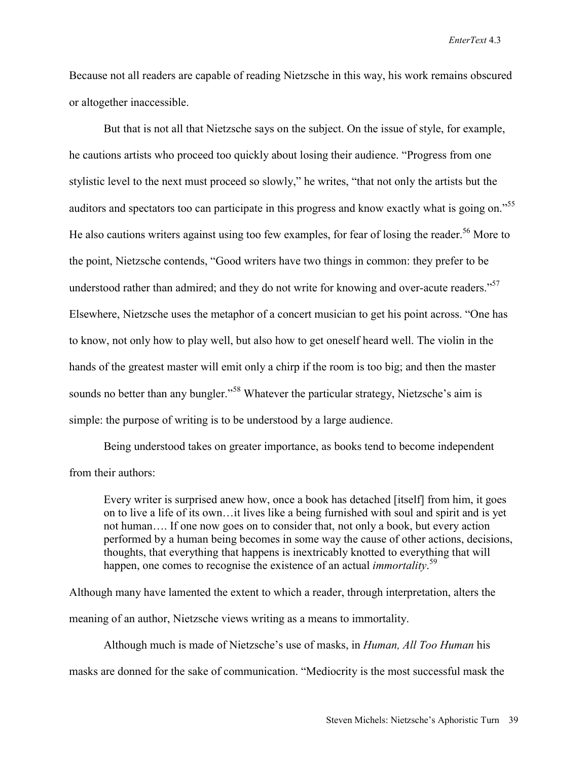Because not all readers are capable of reading Nietzsche in this way, his work remains obscured or altogether inaccessible.

But that is not all that Nietzsche says on the subject. On the issue of style, for example, he cautions artists who proceed too quickly about losing their audience. "Progress from one stylistic level to the next must proceed so slowly," he writes, "that not only the artists but the auditors and spectators too can participate in this progress and know exactly what is going on."<sup>55</sup> He also cautions writers against using too few examples, for fear of losing the reader.<sup>56</sup> More to the point, Nietzsche contends, "Good writers have two things in common: they prefer to be understood rather than admired; and they do not write for knowing and over-acute readers."<sup>57</sup> Elsewhere, Nietzsche uses the metaphor of a concert musician to get his point across. "One has to know, not only how to play well, but also how to get oneself heard well. The violin in the hands of the greatest master will emit only a chirp if the room is too big; and then the master sounds no better than any bungler."<sup>58</sup> Whatever the particular strategy, Nietzsche's aim is simple: the purpose of writing is to be understood by a large audience.

Being understood takes on greater importance, as books tend to become independent from their authors:

Every writer is surprised anew how, once a book has detached [itself] from him, it goes on to live a life of its own…it lives like a being furnished with soul and spirit and is yet not human…. If one now goes on to consider that, not only a book, but every action performed by a human being becomes in some way the cause of other actions, decisions, thoughts, that everything that happens is inextricably knotted to everything that will happen, one comes to recognise the existence of an actual *immortality*.<sup>59</sup>

Although many have lamented the extent to which a reader, through interpretation, alters the meaning of an author, Nietzsche views writing as a means to immortality.

Although much is made of Nietzsche's use of masks, in *Human, All Too Human* his masks are donned for the sake of communication. "Mediocrity is the most successful mask the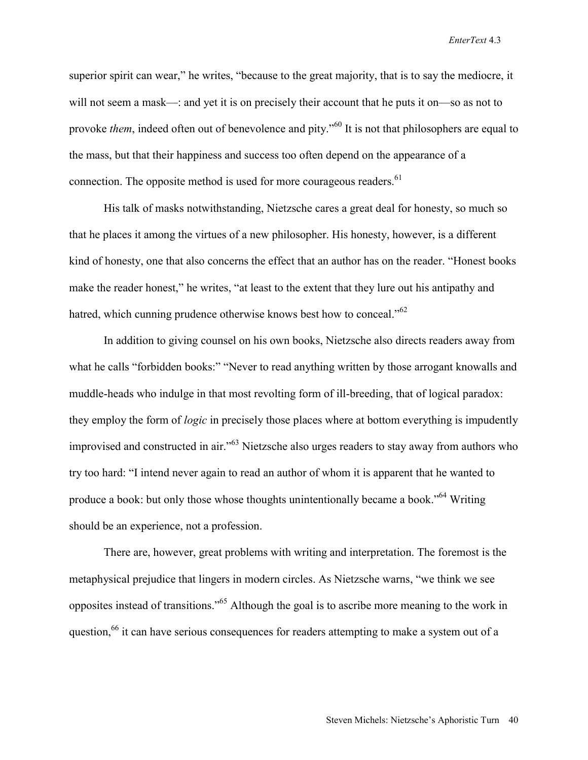superior spirit can wear," he writes, "because to the great majority, that is to say the mediocre, it will not seem a mask—: and yet it is on precisely their account that he puts it on—so as not to provoke *them*, indeed often out of benevolence and pity."<sup>60</sup> It is not that philosophers are equal to the mass, but that their happiness and success too often depend on the appearance of a connection. The opposite method is used for more courageous readers.<sup>61</sup>

His talk of masks notwithstanding, Nietzsche cares a great deal for honesty, so much so that he places it among the virtues of a new philosopher. His honesty, however, is a different kind of honesty, one that also concerns the effect that an author has on the reader. "Honest books make the reader honest," he writes, "at least to the extent that they lure out his antipathy and hatred, which cunning prudence otherwise knows best how to conceal."<sup>62</sup>

In addition to giving counsel on his own books, Nietzsche also directs readers away from what he calls "forbidden books:" "Never to read anything written by those arrogant knowalls and muddle-heads who indulge in that most revolting form of ill-breeding, that of logical paradox: they employ the form of *logic* in precisely those places where at bottom everything is impudently improvised and constructed in air."<sup>63</sup> Nietzsche also urges readers to stay away from authors who try too hard: "I intend never again to read an author of whom it is apparent that he wanted to produce a book: but only those whose thoughts unintentionally became a book."<sup>64</sup> Writing should be an experience, not a profession.

There are, however, great problems with writing and interpretation. The foremost is the metaphysical prejudice that lingers in modern circles. As Nietzsche warns, "we think we see opposites instead of transitions."65 Although the goal is to ascribe more meaning to the work in question,<sup>66</sup> it can have serious consequences for readers attempting to make a system out of a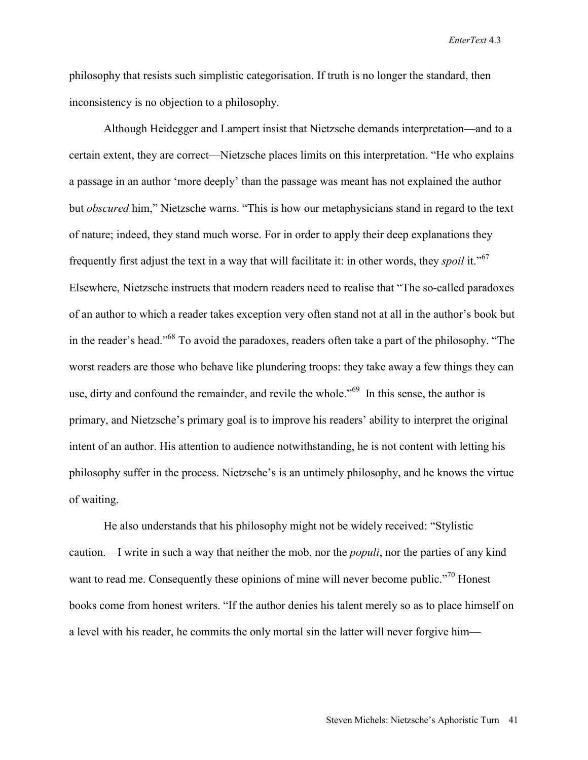philosophy that resists such simplistic categorisation. If truth is no longer the standard, then inconsistency is no objection to a philosophy.

Although Heidegger and Lampert insist that Nietzsche demands interpretation—and to a certain extent, they are correct—Nietzsche places limits on this interpretation. "He who explains a passage in an author 'more deeply' than the passage was meant has not explained the author but *obscured* him," Nietzsche warns. "This is how our metaphysicians stand in regard to the text of nature; indeed, they stand much worse. For in order to apply their deep explanations they frequently first adjust the text in a way that will facilitate it: in other words, they *spoil* it."<sup>67</sup> Elsewhere, Nietzsche instructs that modern readers need to realise that "The so-called paradoxes of an author to which a reader takes exception very often stand not at all in the author's book but in the reader's head."68 To avoid the paradoxes, readers often take a part of the philosophy. "The worst readers are those who behave like plundering troops: they take away a few things they can use, dirty and confound the remainder, and revile the whole.<sup>569</sup> In this sense, the author is primary, and Nietzsche's primary goal is to improve his readers' ability to interpret the original intent of an author. His attention to audience notwithstanding, he is not content with letting his philosophy suffer in the process. Nietzsche's is an untimely philosophy, and he knows the virtue of waiting.

He also understands that his philosophy might not be widely received: "Stylistic caution.—I write in such a way that neither the mob, nor the *populi*, nor the parties of any kind want to read me. Consequently these opinions of mine will never become public."<sup>70</sup> Honest books come from honest writers. "If the author denies his talent merely so as to place himself on a level with his reader, he commits the only mortal sin the latter will never forgive him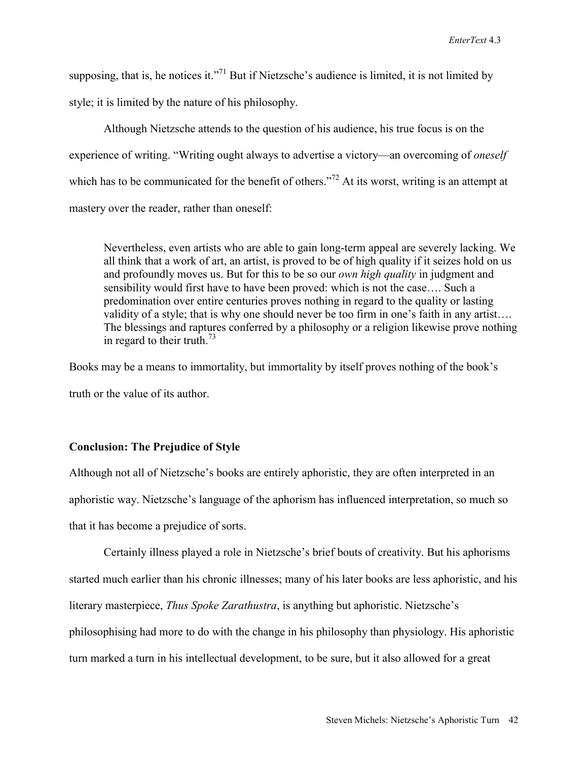supposing, that is, he notices it."<sup>71</sup> But if Nietzsche's audience is limited, it is not limited by style; it is limited by the nature of his philosophy.

Although Nietzsche attends to the question of his audience, his true focus is on the experience of writing. "Writing ought always to advertise a victory—an overcoming of *oneself* which has to be communicated for the benefit of others.<sup> $272$ </sup> At its worst, writing is an attempt at mastery over the reader, rather than oneself:

Nevertheless, even artists who are able to gain long-term appeal are severely lacking. We all think that a work of art, an artist, is proved to be of high quality if it seizes hold on us and profoundly moves us. But for this to be so our *own high quality* in judgment and sensibility would first have to have been proved: which is not the case…. Such a predomination over entire centuries proves nothing in regard to the quality or lasting validity of a style; that is why one should never be too firm in one's faith in any artist…. The blessings and raptures conferred by a philosophy or a religion likewise prove nothing in regard to their truth.<sup>73</sup>

Books may be a means to immortality, but immortality by itself proves nothing of the book's truth or the value of its author.

## **Conclusion: The Prejudice of Style**

Although not all of Nietzsche's books are entirely aphoristic, they are often interpreted in an aphoristic way. Nietzsche's language of the aphorism has influenced interpretation, so much so that it has become a prejudice of sorts.

Certainly illness played a role in Nietzsche's brief bouts of creativity. But his aphorisms started much earlier than his chronic illnesses; many of his later books are less aphoristic, and his literary masterpiece, *Thus Spoke Zarathustra*, is anything but aphoristic. Nietzsche's philosophising had more to do with the change in his philosophy than physiology. His aphoristic turn marked a turn in his intellectual development, to be sure, but it also allowed for a great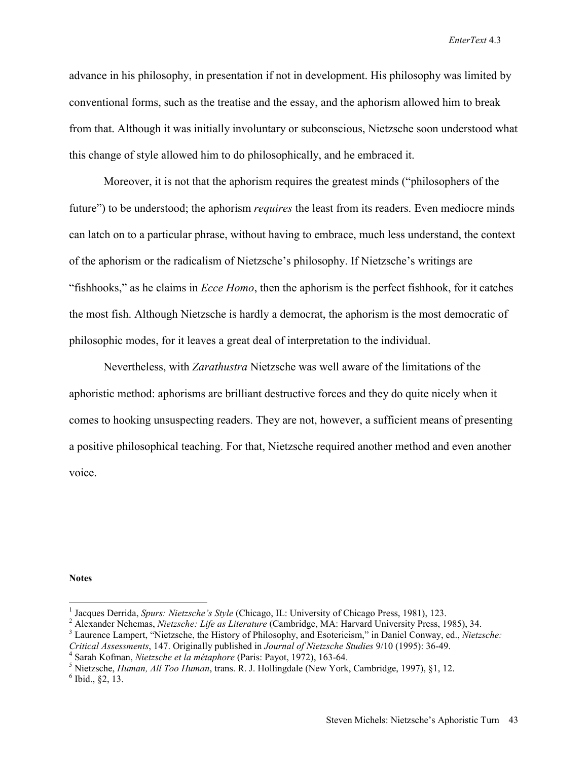advance in his philosophy, in presentation if not in development. His philosophy was limited by conventional forms, such as the treatise and the essay, and the aphorism allowed him to break from that. Although it was initially involuntary or subconscious, Nietzsche soon understood what this change of style allowed him to do philosophically, and he embraced it.

 Moreover, it is not that the aphorism requires the greatest minds ("philosophers of the future") to be understood; the aphorism *requires* the least from its readers. Even mediocre minds can latch on to a particular phrase, without having to embrace, much less understand, the context of the aphorism or the radicalism of Nietzsche's philosophy. If Nietzsche's writings are "fishhooks," as he claims in *Ecce Homo*, then the aphorism is the perfect fishhook, for it catches the most fish. Although Nietzsche is hardly a democrat, the aphorism is the most democratic of philosophic modes, for it leaves a great deal of interpretation to the individual.

Nevertheless, with *Zarathustra* Nietzsche was well aware of the limitations of the aphoristic method: aphorisms are brilliant destructive forces and they do quite nicely when it comes to hooking unsuspecting readers. They are not, however, a sufficient means of presenting a positive philosophical teaching. For that, Nietzsche required another method and even another voice.

#### **Notes**

 $\overline{a}$ 

<sup>&</sup>lt;sup>1</sup> Jacques Derrida, Spurs: Nietzsche's Style (Chicago, IL: University of Chicago Press, 1981), 123. <sup>1</sup> Jacques Derrida, *Spurs: Nietzsche's Style* (Chicago, IL: University of Chicago Press, 1981), 123.<br><sup>2</sup> Alexander Nebernes, Nietzsche: Life as Literature (Combridge, MA: Herverd University Press, 19

<sup>&</sup>lt;sup>2</sup> Alexander Nehemas, *Nietzsche: Life as Literature* (Cambridge, MA: Harvard University Press, 1985), 34. <sup>3</sup> Leurence Lampert, "Nietzsche, the University and Ecoterisien" in Dapiel Convey ed. Nietzs

Laurence Lampert, "Nietzsche, the History of Philosophy, and Esotericism," in Daniel Conway, ed., *Nietzsche:* 

*Critical Assessments*, 147. Originally published in *Journal of Nietzsche Studies* 9/10 (1995): 36-49. 4

Sarah Kofman, *Nietzsche et la métaphore* (Paris: Payot, 1972), 163-64. 5

<sup>&</sup>lt;sup>5</sup> Nietzsche, *Human, All Too Human*, trans. R. J. Hollingdale (New York, Cambridge, 1997), §1, 12.

 $6$  Ibid., 82, 13.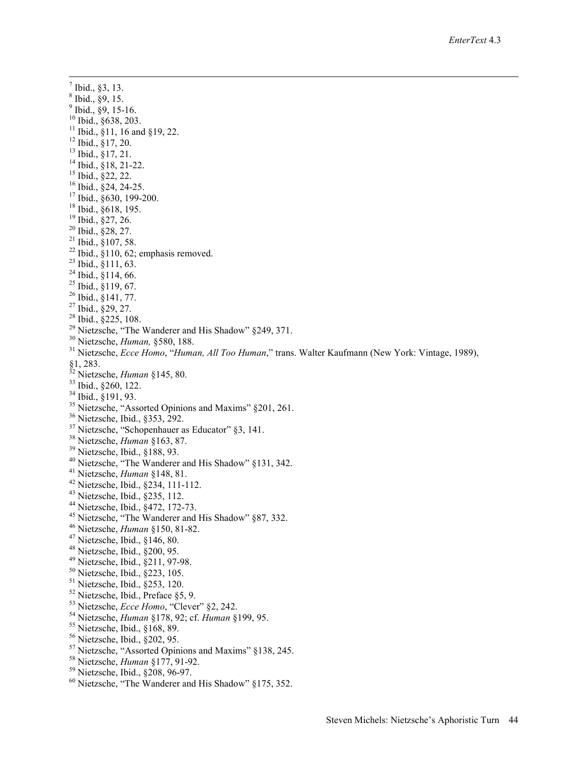-<br>7  $<sup>7</sup>$  Ibid., §3, 13.</sup>  $8$  Ibid.,  $89, 15$ .  $9$  Ibid.,  $\S9$ , 15-16.  $10$  Ibid., §638, 203. <sup>11</sup> Ibid.,  $\frac{8}{9}$ 11, 16 and §19, 22.  $12$  Ibid.,  $\frac{8}{3}$ 17, 20.  $13$  Ibid.,  $\frac{8}{3}$ 17, 21.  $14$  Ibid., §18, 21-22.  $15$  Ibid.,  $822, 22$ .  $16$  Ibid.,  $824$ , 24-25.  $17$  Ibid.,  $\frac{8630}{199}$ , 199-200. 18 Ibid., §618, 195. 19 Ibid., §27, 26.  $20$  Ibid., §28, 27.  $21$  Ibid.,  $\S 107, 58$ .  $22$  Ibid.,  $\frac{8110}{62}$ ; emphasis removed. 23 Ibid., §111, 63.  $^{24}$  Ibid., §114, 66.  $^{25}$  Ibid., §119, 67.  $26$  Ibid., §141, 77.  $27$  Ibid.,  $829, 27$ .  $28$  Ibid.,  $\S 225$ , 108. <sup>29</sup> Nietzsche, "The Wanderer and His Shadow"  $\S$ 249, 371.<br><sup>30</sup> Nietzsche, *Human*,  $\S$ 580, 188. 30 Nietzsche, *Human,* §580, 188. 31 Nietzsche, *Ecce Homo*, "*Human, All Too Human*," trans. Walter Kaufmann (New York: Vintage, 1989), §1, 283. <sup>32</sup> Nietzsche, *Human* §145, 80.<br><sup>33</sup> Ibid., §260, 122.  $\frac{33}{34}$  Ibid., §260, 122.<br> $\frac{34}{34}$  Ibid., §191, 93.  $35$  Nietzsche, "Assorted Opinions and Maxims" §201, 261. 36 Nietzsche, Ibid., §353, 292.  $37$  Nietzsche, "Schopenhauer as Educator" §3, 141. <sup>38</sup> Nietzsche, *Human* §163, 87.<br><sup>39</sup> Nietzsche, Ibid., §188, 93. 40 Nietzsche, "The Wanderer and His Shadow" §131, 342. 41 Nietzsche, *Human* §148, 81. 42 Nietzsche, Ibid., §234, 111-112. 43 Nietzsche, Ibid., §235, 112. 44 Nietzsche, Ibid., §472, 172-73. <sup>45</sup> Nietzsche, "The Wanderer and His Shadow" §87, 332. 46 Nietzsche, *Human* §150, 81-82. 47 Nietzsche, Ibid., §146, 80. 48 Nietzsche, Ibid., §200, 95. 49 Nietzsche, Ibid., §211, 97-98. 50 Nietzsche, Ibid., §223, 105. 51 Nietzsche, Ibid., §253, 120. 52 Nietzsche, Ibid., Preface §5, 9. 53 Nietzsche, *Ecce Homo*, "Clever" §2, 242. 54 Nietzsche, *Human* §178, 92; cf. *Human* §199, 95. 55 Nietzsche, Ibid., §168, 89. 56 Nietzsche, Ibid., §202, 95. <sup>57</sup> Nietzsche, "Assorted Opinions and Maxims" §138, 245.<br><sup>58</sup> Nietzsche, *Human* §177, 91-92. <sup>59</sup> Nietzsche, Ibid., §208, 96-97.